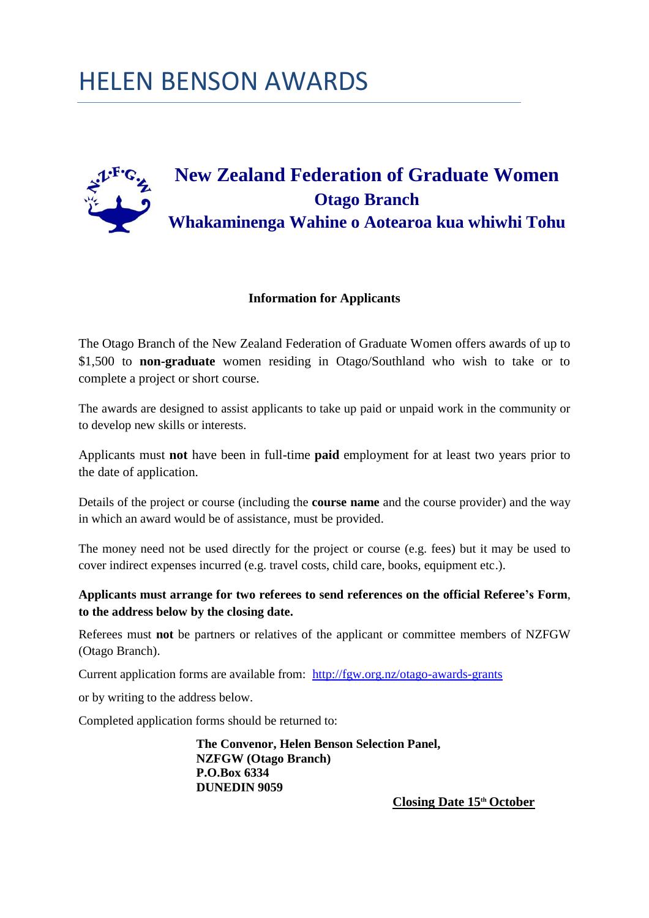# HELEN BENSON AWARDS



#### **Information for Applicants**

The Otago Branch of the New Zealand Federation of Graduate Women offers awards of up to \$1,500 to **non-graduate** women residing in Otago/Southland who wish to take or to complete a project or short course.

The awards are designed to assist applicants to take up paid or unpaid work in the community or to develop new skills or interests.

Applicants must **not** have been in full-time **paid** employment for at least two years prior to the date of application.

Details of the project or course (including the **course name** and the course provider) and the way in which an award would be of assistance, must be provided.

The money need not be used directly for the project or course (e.g. fees) but it may be used to cover indirect expenses incurred (e.g. travel costs, child care, books, equipment etc.).

#### **Applicants must arrange for two referees to send references on the official Referee's Form**, **to the address below by the closing date.**

Referees must **not** be partners or relatives of the applicant or committee members of NZFGW (Otago Branch).

Current application forms are available from: <http://fgw.org.nz/otago-awards-grants>

or by writing to the address below.

Completed application forms should be returned to:

**The Convenor, Helen Benson Selection Panel, NZFGW (Otago Branch) P.O.Box 6334 DUNEDIN 9059** 

**Closing Date 15th October**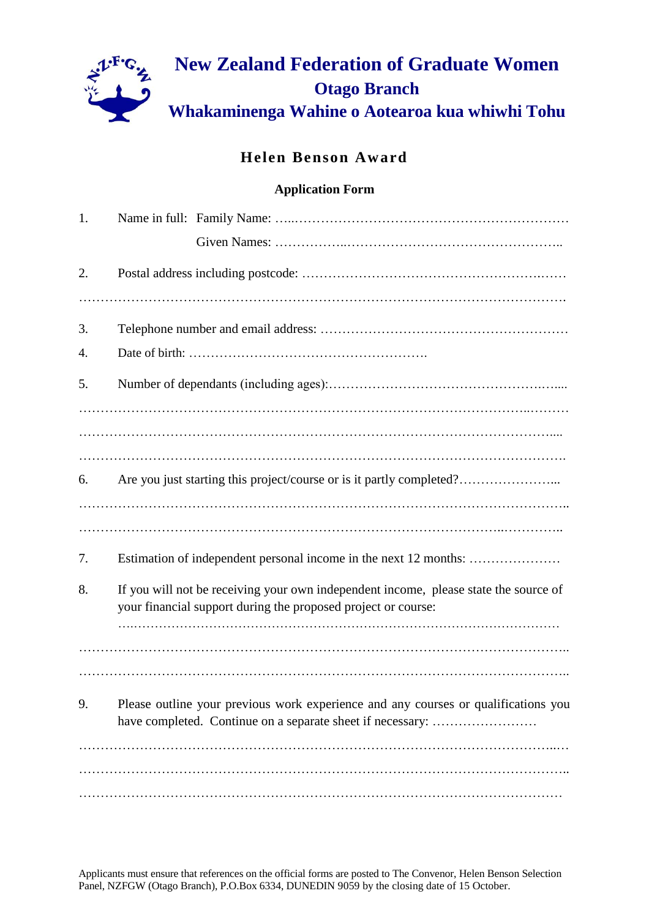

## **Helen Benson Award**

### **Application Form**

| 1. |                                                                                                                                                  |
|----|--------------------------------------------------------------------------------------------------------------------------------------------------|
|    |                                                                                                                                                  |
| 2. |                                                                                                                                                  |
|    |                                                                                                                                                  |
| 3. |                                                                                                                                                  |
| 4. |                                                                                                                                                  |
| 5. |                                                                                                                                                  |
|    |                                                                                                                                                  |
|    |                                                                                                                                                  |
|    |                                                                                                                                                  |
| 6. | Are you just starting this project/course or is it partly completed?                                                                             |
|    |                                                                                                                                                  |
|    |                                                                                                                                                  |
| 7. | Estimation of independent personal income in the next 12 months:                                                                                 |
| 8. | If you will not be receiving your own independent income, please state the source of                                                             |
|    | your financial support during the proposed project or course:                                                                                    |
|    |                                                                                                                                                  |
|    |                                                                                                                                                  |
|    |                                                                                                                                                  |
| 9. | Please outline your previous work experience and any courses or qualifications you<br>have completed. Continue on a separate sheet if necessary: |
|    |                                                                                                                                                  |
|    |                                                                                                                                                  |
|    |                                                                                                                                                  |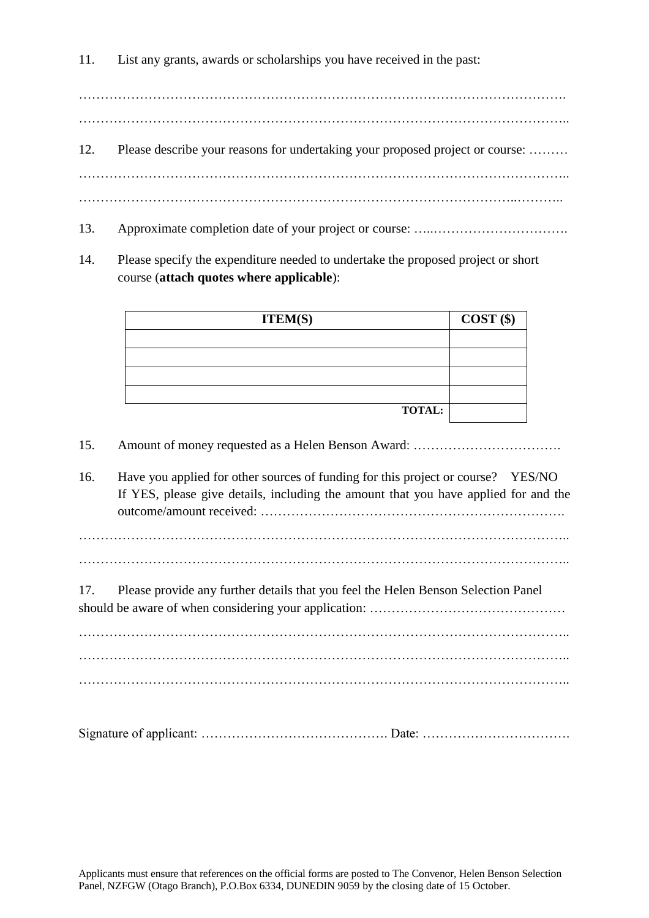11. List any grants, awards or scholarships you have received in the past:

…………………………………………………………………………………………………..

- 12. Please describe your reasons for undertaking your proposed project or course: ……… ………………………………………………………………………………………………….. ………………………………………………………………………………………..………..
- 13. Approximate completion date of your project or course: ………………………………………………………
- 14. Please specify the expenditure needed to undertake the proposed project or short course (**attach quotes where applicable**):

| <b>ITEM(S)</b> | $COST$ (\$) |
|----------------|-------------|
|                |             |
|                |             |
|                |             |
|                |             |
| <b>TOTAL:</b>  |             |

15. Amount of money requested as a Helen Benson Award: …………………………….

16. Have you applied for other sources of funding for this project or course? YES/NO If YES, please give details, including the amount that you have applied for and the outcome/amount received: …………………………………………………………….

17. Please provide any further details that you feel the Helen Benson Selection Panel should be aware of when considering your application: ………………………………………………………………………

………………………………………………………………………………………………….. ………………………………………………………………………………………………….. …………………………………………………………………………………………………..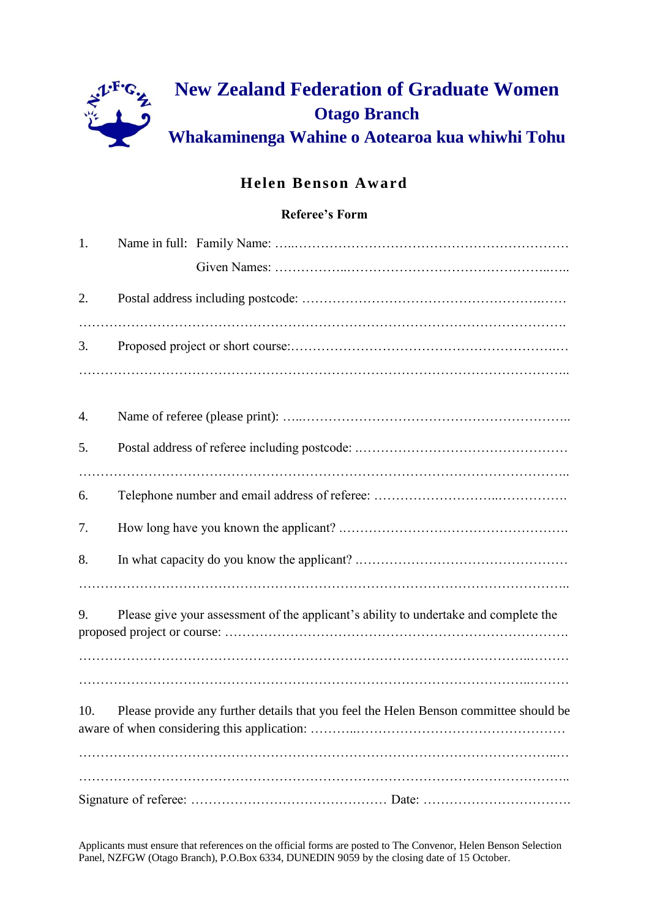

# **Helen Benson Award**

## **Referee's Form**

| 1.  |                                                                                       |
|-----|---------------------------------------------------------------------------------------|
|     |                                                                                       |
| 2.  |                                                                                       |
|     |                                                                                       |
| 3.  |                                                                                       |
|     |                                                                                       |
| 4.  |                                                                                       |
| 5.  |                                                                                       |
|     |                                                                                       |
| 6.  |                                                                                       |
| 7.  |                                                                                       |
| 8.  |                                                                                       |
|     |                                                                                       |
| 9.  | Please give your assessment of the applicant's ability to undertake and complete the  |
|     |                                                                                       |
|     |                                                                                       |
| 10. | Please provide any further details that you feel the Helen Benson committee should be |
|     |                                                                                       |
|     |                                                                                       |
|     |                                                                                       |

Applicants must ensure that references on the official forms are posted to The Convenor, Helen Benson Selection Panel, NZFGW (Otago Branch), P.O.Box 6334, DUNEDIN 9059 by the closing date of 15 October.